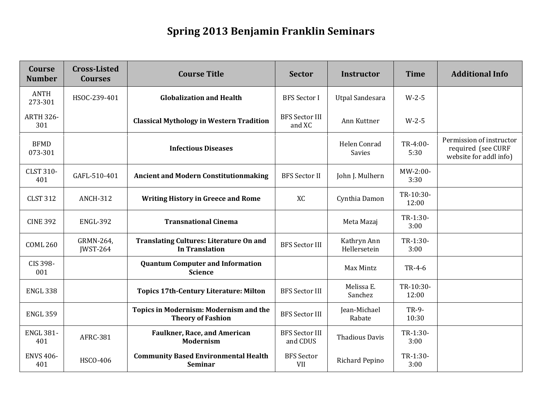## **Spring 2013 Benjamin Franklin Seminars**

| Course<br><b>Number</b> | <b>Cross-Listed</b><br><b>Courses</b> | <b>Course Title</b>                                                       | <b>Sector</b>                     | <b>Instructor</b>             | <b>Time</b>        | <b>Additional Info</b>                                                   |
|-------------------------|---------------------------------------|---------------------------------------------------------------------------|-----------------------------------|-------------------------------|--------------------|--------------------------------------------------------------------------|
| <b>ANTH</b><br>273-301  | HSOC-239-401                          | <b>Globalization and Health</b>                                           | <b>BFS</b> Sector I               | <b>Utpal Sandesara</b>        | $W-2-5$            |                                                                          |
| <b>ARTH 326-</b><br>301 |                                       | <b>Classical Mythology in Western Tradition</b>                           | <b>BFS Sector III</b><br>and XC   | Ann Kuttner                   | $W-2-5$            |                                                                          |
| <b>BFMD</b><br>073-301  |                                       | <b>Infectious Diseases</b>                                                |                                   | Helen Conrad<br><b>Savies</b> | TR-4:00-<br>5:30   | Permission of instructor<br>required (see CURF<br>website for addl info) |
| <b>CLST 310-</b><br>401 | GAFL-510-401                          | <b>Ancient and Modern Constitutionmaking</b>                              | <b>BFS</b> Sector II              | John J. Mulhern               | MW-2:00-<br>3:30   |                                                                          |
| <b>CLST 312</b>         | <b>ANCH-312</b>                       | <b>Writing History in Greece and Rome</b>                                 | XC                                | Cynthia Damon                 | TR-10:30-<br>12:00 |                                                                          |
| <b>CINE 392</b>         | <b>ENGL-392</b>                       | <b>Transnational Cinema</b>                                               |                                   | Meta Mazaj                    | TR-1:30-<br>3:00   |                                                                          |
| <b>COML 260</b>         | GRMN-264,<br><b>IWST-264</b>          | <b>Translating Cultures: Literature On and</b><br><b>In Translation</b>   | <b>BFS Sector III</b>             | Kathryn Ann<br>Hellersetein   | TR-1:30-<br>3:00   |                                                                          |
| CIS 398-<br>001         |                                       | <b>Quantum Computer and Information</b><br><b>Science</b>                 |                                   | Max Mintz                     | TR-4-6             |                                                                          |
| <b>ENGL 338</b>         |                                       | <b>Topics 17th-Century Literature: Milton</b>                             | <b>BFS Sector III</b>             | Melissa E.<br>Sanchez         | TR-10:30-<br>12:00 |                                                                          |
| <b>ENGL 359</b>         |                                       | <b>Topics in Modernism: Modernism and the</b><br><b>Theory of Fashion</b> | <b>BFS Sector III</b>             | Jean-Michael<br>Rabate        | TR-9-<br>10:30     |                                                                          |
| <b>ENGL 381-</b><br>401 | <b>AFRC-381</b>                       | <b>Faulkner, Race, and American</b><br><b>Modernism</b>                   | <b>BFS Sector III</b><br>and CDUS | <b>Thadious Davis</b>         | TR-1:30-<br>3:00   |                                                                          |
| <b>ENVS 406-</b><br>401 | HSCO-406                              | <b>Community Based Environmental Health</b><br><b>Seminar</b>             | <b>BFS</b> Sector<br><b>VII</b>   | Richard Pepino                | TR-1:30-<br>3:00   |                                                                          |